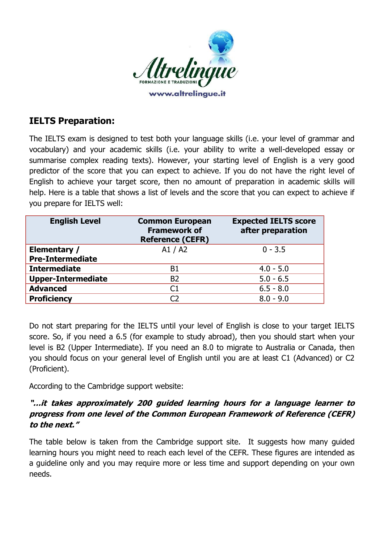

## **IELTS Preparation:**

The IELTS exam is designed to test both your language skills (i.e. your level of grammar and vocabulary) and your academic skills (i.e. your ability to write a well-developed essay or summarise complex reading texts). However, your starting level of English is a very good predictor of the score that you can expect to achieve. If you do not have the right level of English to achieve your target score, then no amount of preparation in academic skills will help. Here is a table that shows a list of levels and the score that you can expect to achieve if you prepare for IELTS well:

| <b>English Level</b>      | <b>Common European</b><br><b>Framework of</b><br><b>Reference (CEFR)</b> | <b>Expected IELTS score</b><br>after preparation |
|---------------------------|--------------------------------------------------------------------------|--------------------------------------------------|
| Elementary /              | A1 / A2                                                                  | $0 - 3.5$                                        |
| <b>Pre-Intermediate</b>   |                                                                          |                                                  |
| <b>Intermediate</b>       | B1                                                                       | $4.0 - 5.0$                                      |
| <b>Upper-Intermediate</b> | <b>B2</b>                                                                | $5.0 - 6.5$                                      |
| <b>Advanced</b>           | C1                                                                       | $6.5 - 8.0$                                      |
| <b>Proficiency</b>        | C)                                                                       | $8.0 - 9.0$                                      |

Do not start preparing for the IELTS until your level of English is close to your target IELTS score. So, if you need a 6.5 (for example to study abroad), then you should start when your level is B2 (Upper Intermediate). If you need an 8.0 to migrate to Australia or Canada, then you should focus on your general level of English until you are at least C1 (Advanced) or C2 (Proficient).

According to the Cambridge support website:

## **"…it takes approximately 200 guided learning hours for a language learner to progress from one level of the Common European Framework of Reference (CEFR) to the next."**

The table below is taken from the Cambridge support site. It suggests how many guided learning hours you might need to reach each level of the CEFR. These figures are intended as a guideline only and you may require more or less time and support depending on your own needs.